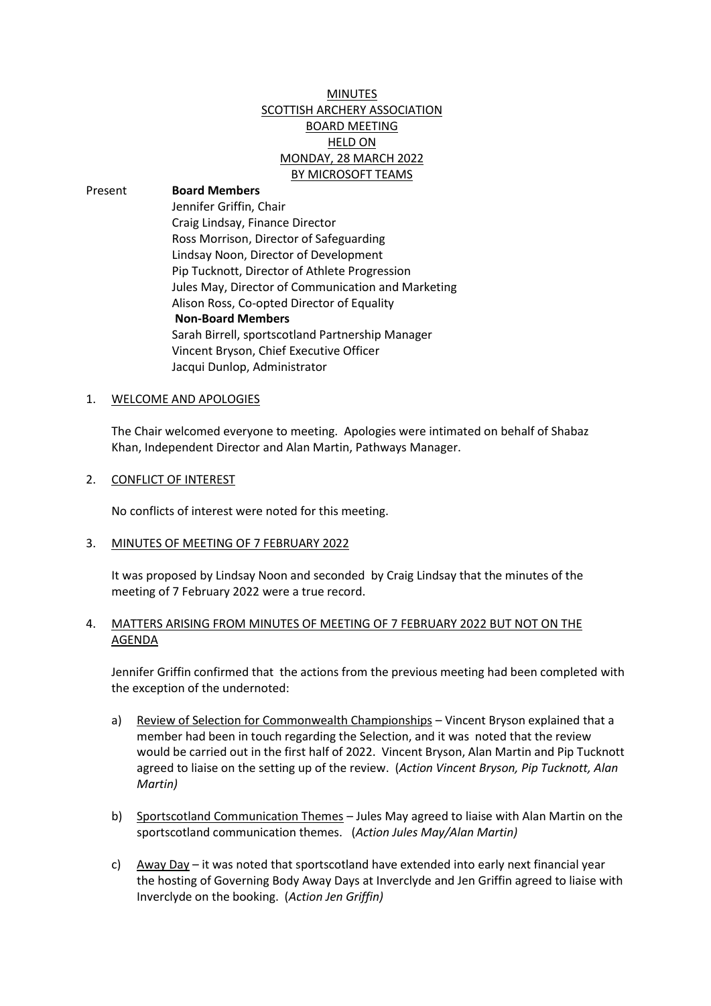# MINUTES SCOTTISH ARCHERY ASSOCIATION BOARD MEETING HELD ON MONDAY, 28 MARCH 2022 BY MICROSOFT TEAMS

Present **Board Members** Jennifer Griffin, Chair Craig Lindsay, Finance Director Ross Morrison, Director of Safeguarding Lindsay Noon, Director of Development Pip Tucknott, Director of Athlete Progression Jules May, Director of Communication and Marketing Alison Ross, Co-opted Director of Equality **Non-Board Members** Sarah Birrell, sportscotland Partnership Manager Vincent Bryson, Chief Executive Officer Jacqui Dunlop, Administrator

### 1. WELCOME AND APOLOGIES

The Chair welcomed everyone to meeting. Apologies were intimated on behalf of Shabaz Khan, Independent Director and Alan Martin, Pathways Manager.

#### 2. CONFLICT OF INTEREST

No conflicts of interest were noted for this meeting.

3. MINUTES OF MEETING OF 7 FEBRUARY 2022

It was proposed by Lindsay Noon and seconded by Craig Lindsay that the minutes of the meeting of 7 February 2022 were a true record.

## 4. MATTERS ARISING FROM MINUTES OF MEETING OF 7 FEBRUARY 2022 BUT NOT ON THE AGENDA

Jennifer Griffin confirmed that the actions from the previous meeting had been completed with the exception of the undernoted:

- a) Review of Selection for Commonwealth Championships Vincent Bryson explained that a member had been in touch regarding the Selection, and it was noted that the review would be carried out in the first half of 2022. Vincent Bryson, Alan Martin and Pip Tucknott agreed to liaise on the setting up of the review. (*Action Vincent Bryson, Pip Tucknott, Alan Martin)*
- b) Sportscotland Communication Themes Jules May agreed to liaise with Alan Martin on the sportscotland communication themes. (*Action Jules May/Alan Martin)*
- c) Away Day it was noted that sportscotland have extended into early next financial year the hosting of Governing Body Away Days at Inverclyde and Jen Griffin agreed to liaise with Inverclyde on the booking. (*Action Jen Griffin)*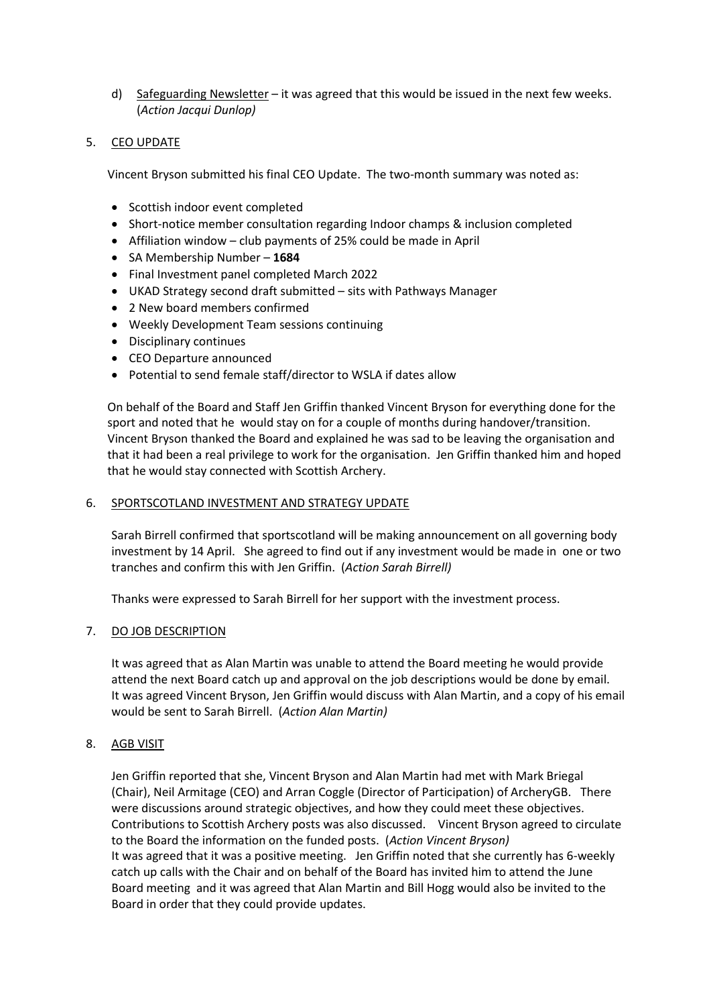d) Safeguarding Newsletter – it was agreed that this would be issued in the next few weeks. (*Action Jacqui Dunlop)*

## 5. CEO UPDATE

Vincent Bryson submitted his final CEO Update. The two-month summary was noted as:

- Scottish indoor event completed
- Short-notice member consultation regarding Indoor champs & inclusion completed
- Affiliation window club payments of 25% could be made in April
- SA Membership Number **1684**
- Final Investment panel completed March 2022
- UKAD Strategy second draft submitted sits with Pathways Manager
- 2 New board members confirmed
- Weekly Development Team sessions continuing
- Disciplinary continues
- CEO Departure announced
- Potential to send female staff/director to WSLA if dates allow

On behalf of the Board and Staff Jen Griffin thanked Vincent Bryson for everything done for the sport and noted that he would stay on for a couple of months during handover/transition. Vincent Bryson thanked the Board and explained he was sad to be leaving the organisation and that it had been a real privilege to work for the organisation. Jen Griffin thanked him and hoped that he would stay connected with Scottish Archery.

### 6. SPORTSCOTLAND INVESTMENT AND STRATEGY UPDATE

Sarah Birrell confirmed that sportscotland will be making announcement on all governing body investment by 14 April. She agreed to find out if any investment would be made in one or two tranches and confirm this with Jen Griffin. (*Action Sarah Birrell)*

Thanks were expressed to Sarah Birrell for her support with the investment process.

## 7. DO JOB DESCRIPTION

It was agreed that as Alan Martin was unable to attend the Board meeting he would provide attend the next Board catch up and approval on the job descriptions would be done by email. It was agreed Vincent Bryson, Jen Griffin would discuss with Alan Martin, and a copy of his email would be sent to Sarah Birrell. (*Action Alan Martin)*

## 8. AGB VISIT

Jen Griffin reported that she, Vincent Bryson and Alan Martin had met with Mark Briegal (Chair), Neil Armitage (CEO) and Arran Coggle (Director of Participation) of ArcheryGB. There were discussions around strategic objectives, and how they could meet these objectives. Contributions to Scottish Archery posts was also discussed. Vincent Bryson agreed to circulate to the Board the information on the funded posts. (*Action Vincent Bryson)* It was agreed that it was a positive meeting. Jen Griffin noted that she currently has 6-weekly catch up calls with the Chair and on behalf of the Board has invited him to attend the June Board meeting and it was agreed that Alan Martin and Bill Hogg would also be invited to the Board in order that they could provide updates.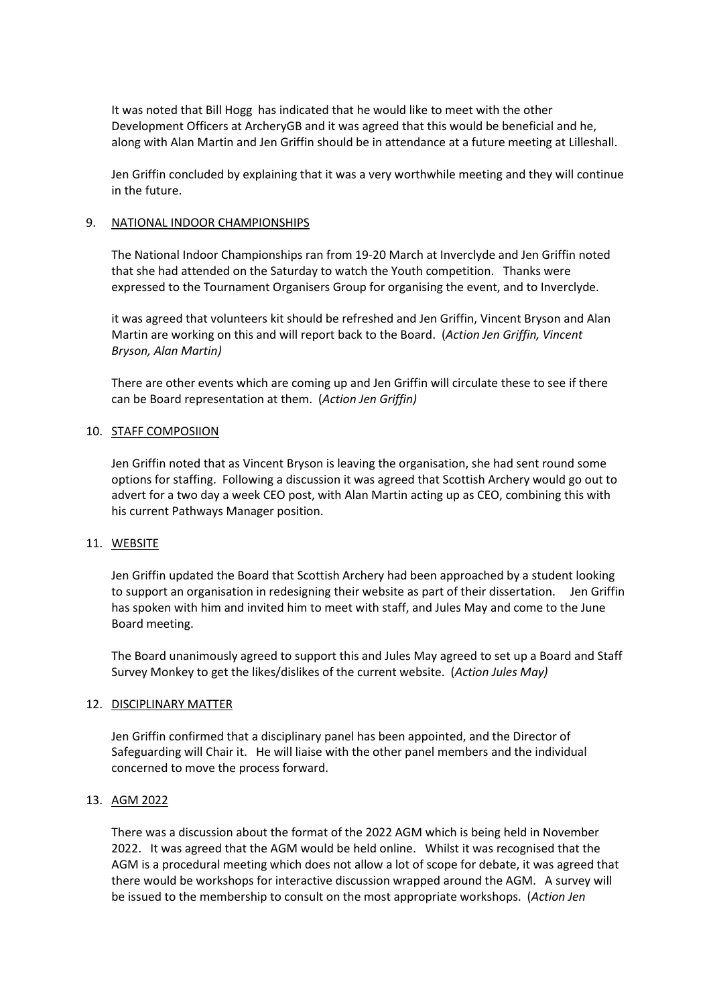It was noted that Bill Hogg has indicated that he would like to meet with the other Development Officers at ArcheryGB and it was agreed that this would be beneficial and he, along with Alan Martin and Jen Griffin should be in attendance at a future meeting at Lilleshall.

Jen Griffin concluded by explaining that it was a very worthwhile meeting and they will continue in the future.

### 9. NATIONAL INDOOR CHAMPIONSHIPS

The National Indoor Championships ran from 19-20 March at Inverclyde and Jen Griffin noted that she had attended on the Saturday to watch the Youth competition. Thanks were expressed to the Tournament Organisers Group for organising the event, and to Inverclyde.

it was agreed that volunteers kit should be refreshed and Jen Griffin, Vincent Bryson and Alan Martin are working on this and will report back to the Board. (*Action Jen Griffin, Vincent Bryson, Alan Martin)*

There are other events which are coming up and Jen Griffin will circulate these to see if there can be Board representation at them. (*Action Jen Griffin)*

#### 10. STAFF COMPOSIION

Jen Griffin noted that as Vincent Bryson is leaving the organisation, she had sent round some options for staffing. Following a discussion it was agreed that Scottish Archery would go out to advert for a two day a week CEO post, with Alan Martin acting up as CEO, combining this with his current Pathways Manager position.

#### 11. WEBSITE

Jen Griffin updated the Board that Scottish Archery had been approached by a student looking to support an organisation in redesigning their website as part of their dissertation. Jen Griffin has spoken with him and invited him to meet with staff, and Jules May and come to the June Board meeting.

The Board unanimously agreed to support this and Jules May agreed to set up a Board and Staff Survey Monkey to get the likes/dislikes of the current website. (*Action Jules May)*

#### 12. DISCIPLINARY MATTER

Jen Griffin confirmed that a disciplinary panel has been appointed, and the Director of Safeguarding will Chair it. He will liaise with the other panel members and the individual concerned to move the process forward.

#### 13. AGM 2022

There was a discussion about the format of the 2022 AGM which is being held in November 2022. It was agreed that the AGM would be held online. Whilst it was recognised that the AGM is a procedural meeting which does not allow a lot of scope for debate, it was agreed that there would be workshops for interactive discussion wrapped around the AGM. A survey will be issued to the membership to consult on the most appropriate workshops. (*Action Jen*